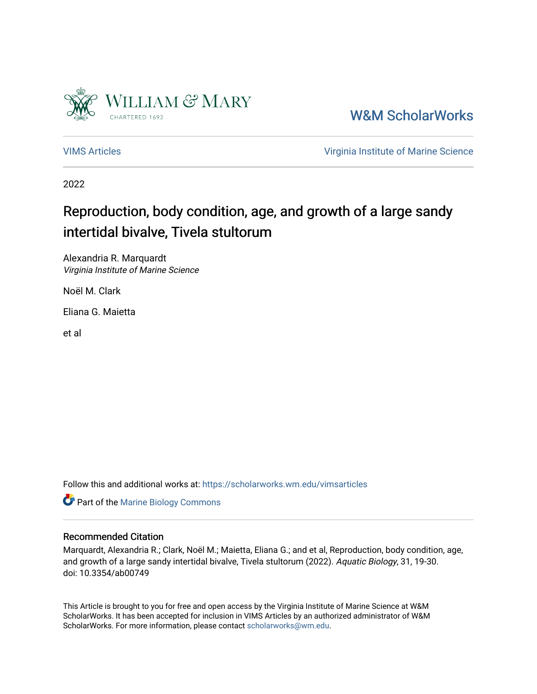

[W&M ScholarWorks](https://scholarworks.wm.edu/) 

[VIMS Articles](https://scholarworks.wm.edu/vimsarticles) [Virginia Institute of Marine Science](https://scholarworks.wm.edu/vims) 

2022

# Reproduction, body condition, age, and growth of a large sandy intertidal bivalve, Tivela stultorum

Alexandria R. Marquardt Virginia Institute of Marine Science

Noël M. Clark

Eliana G. Maietta

et al

Follow this and additional works at: [https://scholarworks.wm.edu/vimsarticles](https://scholarworks.wm.edu/vimsarticles?utm_source=scholarworks.wm.edu%2Fvimsarticles%2F2310&utm_medium=PDF&utm_campaign=PDFCoverPages)

**Part of the Marine Biology Commons** 

## Recommended Citation

Marquardt, Alexandria R.; Clark, Noël M.; Maietta, Eliana G.; and et al, Reproduction, body condition, age, and growth of a large sandy intertidal bivalve, Tivela stultorum (2022). Aquatic Biology, 31, 19-30. doi: 10.3354/ab00749

This Article is brought to you for free and open access by the Virginia Institute of Marine Science at W&M ScholarWorks. It has been accepted for inclusion in VIMS Articles by an authorized administrator of W&M ScholarWorks. For more information, please contact [scholarworks@wm.edu.](mailto:scholarworks@wm.edu)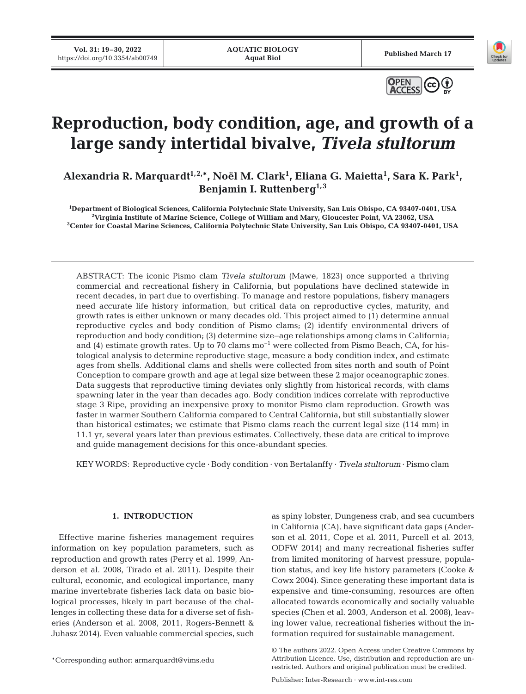**Vol. 31: 19–30, 2022 17 VOL 31: 19-30, 2022 Published March 17 Published March 17 Published March 17 Published March 17 Published March 17** 





# **Reproduction, body condition, age, and growth of a large sandy intertidal bivalve,** *Tivela stultorum*

Alexandria R. Marquardt<sup>1,2,\*</sup>, Noël M. Clark<sup>1</sup>, Eliana G. Maietta<sup>1</sup>, Sara K. Park<sup>1</sup>, **Benjamin I. Ruttenberg1,3**

**1 Department of Biological Sciences, California Polytechnic State University, San Luis Obispo, CA 93407-0401, USA 2** Virginia Institute of Marine Science, College of William and Mary, Gloucester Point, VA 23062, USA<sup>3</sup>Center for Coastal Marine Sciences, California Polytechnic State University, San Luis Obispo, CA 93407-0401, USA

ABSTRACT: The iconic Pismo clam *Tivela stultorum* (Mawe, 1823) once supported a thriving commercial and recreational fishery in California, but populations have declined statewide in recent decades, in part due to overfishing. To manage and restore populations, fishery managers need accurate life history information, but critical data on reproductive cycles, maturity, and growth rates is either unknown or many decades old. This project aimed to (1) determine annual reproductive cycles and body condition of Pismo clams; (2) identify environmental drivers of reproduction and body condition; (3) determine size−age relationships among clams in California; and (4) estimate growth rates. Up to 70 clams  $\text{mo}^{-1}$  were collected from Pismo Beach, CA, for histological analysis to determine reproductive stage, measure a body condition index, and estimate ages from shells. Additional clams and shells were collected from sites north and south of Point Conception to compare growth and age at legal size between these 2 major oceanographic zones. Data suggests that reproductive timing deviates only slightly from historical records, with clams spawning later in the year than decades ago. Body condition indices correlate with reproductive stage 3 Ripe, providing an inexpensive proxy to monitor Pismo clam reproduction. Growth was faster in warmer Southern California compared to Central California, but still substantially slower than historical estimates; we estimate that Pismo clams reach the current legal size (114 mm) in 11.1 yr, several years later than previous estimates. Collectively, these data are critical to improve and guide management decisions for this once-abundant species.

KEY WORDS: Reproductive cycle · Body condition · von Bertalanffy · *Tivela stultorum* · Pismo clam

### **1. INTRODUCTION**

Effective marine fisheries management requires information on key population parameters, such as reproduction and growth rates (Perry et al. 1999, Anderson et al. 2008, Tirado et al. 2011). Despite their cultural, economic, and ecological importance, many marine invertebrate fisheries lack data on basic biological processes, likely in part because of the challenges in collecting these data for a diverse set of fisheries (Anderson et al. 2008, 2011, Rogers-Bennett & Juhasz 2014). Even valuable commercial species, such as spiny lobster, Dungeness crab, and sea cucumbers in California (CA), have significant data gaps (Anderson et al. 2011, Cope et al. 2011, Purcell et al. 2013, ODFW 2014) and many recreational fisheries suffer from limited monitoring of harvest pressure, population status, and key life history parameters (Cooke & Cowx 2004). Since generating these important data is expensive and time-consuming, resources are often allocated towards economically and socially valuable species (Chen et al. 2003, Anderson et al. 2008), leaving lower value, recreational fisheries without the information required for sustainable management.

<sup>\*</sup>Corresponding author: armarquardt@vims.edu

<sup>©</sup> The authors 2022. Open Access under Creative Commons by Attribution Licence. Use, distribution and reproduction are unrestricted. Authors and original publication must be credited.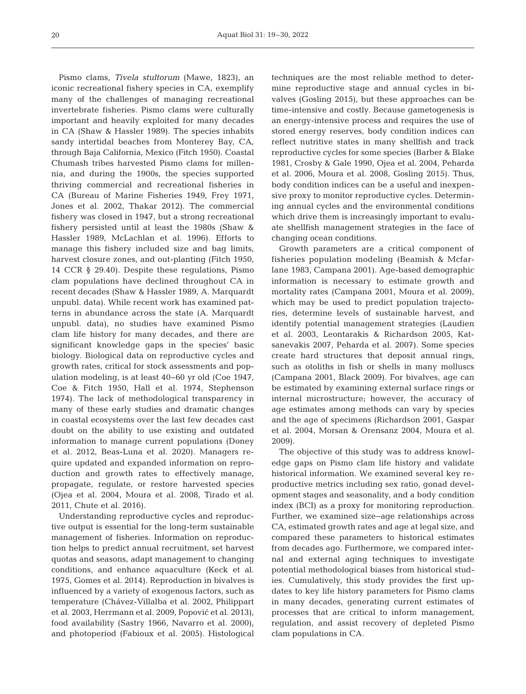Pismo clams, *Tivela stultorum* (Mawe, 1823), an iconic recreational fishery species in CA, exemplify many of the challenges of managing recreational invertebrate fisheries. Pismo clams were culturally important and heavily exploited for many decades in CA (Shaw & Hassler 1989). The species inhabits sandy intertidal beaches from Monterey Bay, CA, through Baja California, Mexico (Fitch 1950). Coastal Chumash tribes harvested Pismo clams for millennia, and during the 1900s, the species supported thriving commercial and recreational fisheries in CA (Bureau of Marine Fisheries 1949, Frey 1971, Jones et al. 2002, Thakar 2012). The commercial fishery was closed in 1947, but a strong recreational fishery persisted until at least the 1980s (Shaw & Hassler 1989, McLachlan et al. 1996). Efforts to manage this fishery included size and bag limits, harvest closure zones, and out-planting (Fitch 1950, 14 CCR § 29.40). Despite these regulations, Pismo clam populations have declined throughout CA in recent decades (Shaw & Hassler 1989, A. Marquardt unpubl. data). While recent work has examined patterns in abundance across the state (A. Marquardt unpubl. data), no studies have examined Pismo clam life history for many decades, and there are significant knowledge gaps in the species' basic biology. Biological data on reproductive cycles and growth rates, critical for stock assessments and population modeling, is at least 40−60 yr old (Coe 1947, Coe & Fitch 1950, Hall et al. 1974, Stephenson 1974). The lack of methodological transparency in many of these early studies and dramatic changes in coastal ecosystems over the last few decades cast doubt on the ability to use existing and outdated information to manage current populations (Doney et al. 2012, Beas-Luna et al. 2020). Managers re quire updated and expanded information on reproduction and growth rates to effectively manage, propagate, regulate, or restore harvested species (Ojea et al. 2004, Moura et al. 2008, Tirado et al. 2011, Chute et al. 2016).

Understanding reproductive cycles and reproductive output is essential for the long-term sustainable management of fisheries. Information on reproduction helps to predict annual recruitment, set harvest quotas and seasons, adapt management to changing conditions, and enhance aquaculture (Keck et al. 1975, Gomes et al. 2014). Reproduction in bivalves is influenced by a variety of exogenous factors, such as temperature (Chávez-Villalba et al. 2002, Philippart et al. 2003, Herrmann et al. 2009, Popović et al. 2013), food availability (Sastry 1966, Navarro et al. 2000), and photoperiod (Fabioux et al. 2005). Histological techniques are the most reliable method to determine reproductive stage and annual cycles in bivalves (Gosling 2015), but these approaches can be time-intensive and costly. Because gametogenesis is an energy-intensive process and requires the use of stored energy reserves, body condition indices can reflect nutritive states in many shellfish and track reproductive cycles for some species (Barber & Blake 1981, Crosby & Gale 1990, Ojea et al. 2004, Peharda et al. 2006, Moura et al. 2008, Gosling 2015). Thus, body condition indices can be a useful and inexpensive proxy to monitor reproductive cycles. Determining annual cycles and the environmental conditions which drive them is increasingly important to evaluate shellfish management strategies in the face of changing ocean conditions.

Growth parameters are a critical component of fisheries population modeling (Beamish & Mcfarlane 1983, Campana 2001). Age-based demographic information is necessary to estimate growth and mortality rates (Campana 2001, Moura et al. 2009), which may be used to predict population trajectories, determine levels of sustainable harvest, and identify potential management strategies (Laudien et al. 2003, Leontarakis & Richardson 2005, Katsanevakis 2007, Peharda et al. 2007). Some species create hard structures that deposit annual rings, such as otoliths in fish or shells in many molluscs (Campana 2001, Black 2009). For bivalves, age can be estimated by examining external surface rings or internal microstructure; however, the accuracy of age estimates among methods can vary by species and the age of specimens (Richardson 2001, Gaspar et al. 2004, Morsan & Orensanz 2004, Moura et al. 2009).

The objective of this study was to address knowledge gaps on Pismo clam life history and validate historical information. We examined several key reproductive metrics including sex ratio, gonad development stages and seasonality, and a body condition index (BCI) as a proxy for monitoring reproduction. Further, we examined size−age relationships across CA, estimated growth rates and age at legal size, and compared these parameters to historical estimates from decades ago. Furthermore, we compared internal and external aging techniques to investigate potential methodological biases from historical studies. Cumulatively, this study provides the first updates to key life history parameters for Pismo clams in many decades, generating current estimates of processes that are critical to inform management, regulation, and assist recovery of depleted Pismo clam populations in CA.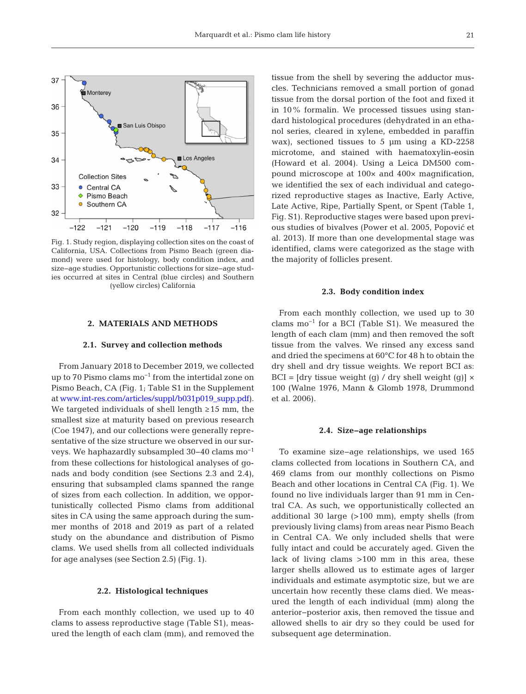

Fig. 1. Study region, displaying collection sites on the coast of California, USA. Collections from Pismo Beach (green diamond) were used for histology, body condition index, and size−age studies. Opportunistic collections for size−age studies occurred at sites in Central (blue circles) and Southern (yellow circles) California

#### **2. MATERIALS AND METHODS**

## **2.1. Survey and collection methods**

From January 2018 to December 2019, we collected up to 70 Pismo clams mo−1 from the intertidal zone on Pismo Beach, CA (Fig. 1; Table S1 in the Supplement a[t www.int-res.com/articles/suppl/b031p019\\_supp.pdf\)](https://www.int-res.com/articles/suppl/b031p019_supp.pdf). We targeted individuals of shell length  $\geq 15$  mm, the smallest size at maturity based on previous research (Coe 1947), and our collections were generally representative of the size structure we observed in our surveys. We haphazardly subsampled 30−40 clams mo−1 from these collections for histological analyses of gonads and body condition (see Sections 2.3 and 2.4), ensuring that subsampled clams spanned the range of sizes from each collection. In addition, we opportunistically collected Pismo clams from additional sites in CA using the same approach during the summer months of 2018 and 2019 as part of a related study on the abundance and distribution of Pismo clams. We used shells from all collected individuals for age analyses (see Section 2.5) (Fig. 1).

#### **2.2. Histological techniques**

From each monthly collection, we used up to 40 clams to assess reproductive stage (Table S1), measured the length of each clam (mm), and removed the

tissue from the shell by severing the adductor muscles. Technicians removed a small portion of gonad tissue from the dorsal portion of the foot and fixed it in 10% formalin. We processed tissues using standard histological procedures (dehydrated in an etha nol series, cleared in xylene, embedded in paraffin wax), sectioned tissues to 5 μm using a KD-2258 micro tome, and stained with haematoxylin-eosin (Howard et al. 2004). Using a Leica DM500 compound microscope at 100× and 400× magnification, we identified the sex of each individual and categorized reproductive stages as Inactive, Early Active, Late Active, Ripe, Partially Spent, or Spent (Table 1, Fig. S1). Reproductive stages were based upon previous studies of bivalves (Power et al. 2005, Popović et al. 2013). If more than one developmental stage was identified, clams were categorized as the stage with the majority of follicles present.

#### **2.3. Body condition index**

From each monthly collection, we used up to 30 clams mo−1 for a BCI (Table S1). We measured the length of each clam (mm) and then removed the soft tissue from the valves. We rinsed any excess sand and dried the specimens at 60°C for 48 h to obtain the dry shell and dry tissue weights. We report BCI as:  $BCI = [dry$  tissue weight (g) / dry shell weight (g)]  $\times$ 100 (Walne 1976, Mann & Glomb 1978, Drummond et al. 2006).

#### **2.4. Size−age relationships**

To examine size−age relationships, we used 165 clams collected from locations in Southern CA, and 469 clams from our monthly collections on Pismo Beach and other locations in Central CA (Fig. 1). We found no live individuals larger than 91 mm in Central CA. As such, we opportunistically collected an additional 30 large (>100 mm), empty shells (from previously living clams) from areas near Pismo Beach in Central CA. We only included shells that were fully intact and could be accurately aged. Given the lack of living clams >100 mm in this area, these larger shells allowed us to estimate ages of larger individuals and estimate asymptotic size, but we are uncertain how recently these clams died. We measured the length of each individual (mm) along the anterior−posterior axis, then removed the tissue and allowed shells to air dry so they could be used for subsequent age determination.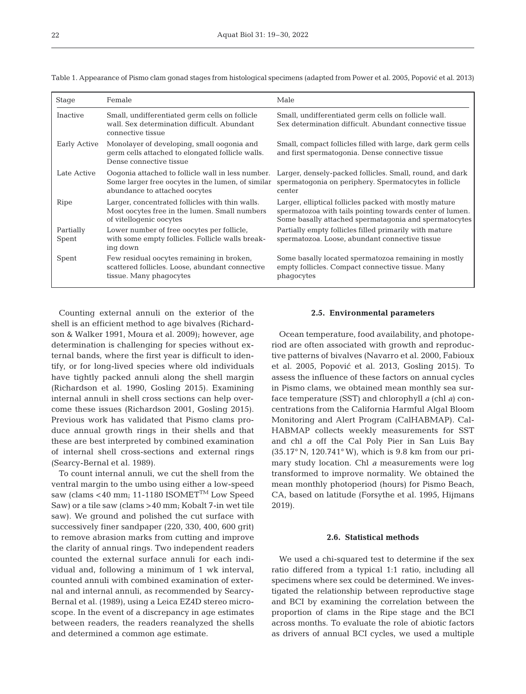| Stage              | Female                                                                                                                                  | Male                                                                                                                                                                        |
|--------------------|-----------------------------------------------------------------------------------------------------------------------------------------|-----------------------------------------------------------------------------------------------------------------------------------------------------------------------------|
| <b>Inactive</b>    | Small, undifferentiated germ cells on follicle<br>wall. Sex determination difficult. Abundant<br>connective tissue                      | Small, undifferentiated germ cells on follicle wall.<br>Sex determination difficult. Abundant connective tissue                                                             |
| Early Active       | Monolayer of developing, small oogonia and<br>germ cells attached to elongated follicle walls.<br>Dense connective tissue               | Small, compact follicles filled with large, dark germ cells<br>and first spermatogonia. Dense connective tissue                                                             |
| Late Active        | Oogonia attached to follicle wall in less number.<br>Some larger free oocytes in the lumen, of similar<br>abundance to attached oocytes | Larger, densely-packed follicles. Small, round, and dark<br>spermatogonia on periphery. Spermatocytes in follicle<br>center                                                 |
| Ripe               | Larger, concentrated follicles with thin walls.<br>Most oocytes free in the lumen. Small numbers<br>of vitellogenic oocytes             | Larger, elliptical follicles packed with mostly mature<br>spermatozoa with tails pointing towards center of lumen.<br>Some basally attached spermatagonia and spermatocytes |
| Partially<br>Spent | Lower number of free oocytes per follicle,<br>with some empty follicles. Follicle walls break-<br>ing down                              | Partially empty follicles filled primarily with mature<br>spermatozoa. Loose, abundant connective tissue                                                                    |
| Spent              | Few residual oocytes remaining in broken,<br>scattered follicles. Loose, abundant connective<br>tissue. Many phagocytes                 | Some basally located spermatozoa remaining in mostly<br>empty follicles. Compact connective tissue. Many<br>phagocytes                                                      |

Table 1. Appearance of Pismo clam gonad stages from histological specimens (adapted from Power et al. 2005, Popović et al. 2013)

Counting external annuli on the exterior of the shell is an efficient method to age bivalves (Richardson & Walker 1991, Moura et al. 2009); however, age determination is challenging for species without external bands, where the first year is difficult to identify, or for long-lived species where old individuals have tightly packed annuli along the shell margin (Richardson et al. 1990, Gosling 2015). Examining internal annuli in shell cross sections can help overcome these issues (Richardson 2001, Gosling 2015). Previous work has validated that Pismo clams produce annual growth rings in their shells and that these are best interpreted by combined examination of internal shell cross-sections and external rings (Searcy-Bernal et al. 1989).

To count internal annuli, we cut the shell from the ventral margin to the umbo using either a low-speed saw (clams <40 mm; 11-1180 ISOMET™ Low Speed Saw) or a tile saw (clams >40 mm; Kobalt 7-in wet tile saw). We ground and polished the cut surface with successively finer sandpaper (220, 330, 400, 600 grit) to remove abrasion marks from cutting and improve the clarity of annual rings. Two independent readers counted the external surface annuli for each individual and, following a minimum of 1 wk interval, counted annuli with combined examination of external and internal annuli, as recommended by Searcy-Bernal et al. (1989), using a Leica EZ4D stereo microscope. In the event of a discrepancy in age estimates between readers, the readers reanalyzed the shells and determined a common age estimate.

#### **2.5. Environmental parameters**

Ocean temperature, food availability, and photoperiod are often associated with growth and reproductive patterns of bivalves (Navarro et al. 2000, Fabioux et al. 2005, Popović et al. 2013, Gosling 2015). To assess the influence of these factors on annual cycles in Pismo clams, we obtained mean monthly sea surface temperature (SST) and chlorophyll *a* (chl *a*) concentrations from the California Harmful Algal Bloom Monitoring and Alert Program (CalHABMAP). Cal-HABMAP collects weekly measurements for SST and chl *a* off the Cal Poly Pier in San Luis Bay (35.17° N, 120.741° W), which is 9.8 km from our primary study location. Chl *a* measurements were log transformed to improve normality. We obtained the mean monthly photoperiod (hours) for Pismo Beach, CA, based on latitude (Forsythe et al. 1995, Hijmans 2019).

#### **2.6. Statistical methods**

We used a chi-squared test to determine if the sex ratio differed from a typical 1:1 ratio, including all specimens where sex could be determined. We investigated the relationship between reproductive stage and BCI by examining the correlation between the proportion of clams in the Ripe stage and the BCI across months. To evaluate the role of abiotic factors as drivers of annual BCI cycles, we used a multiple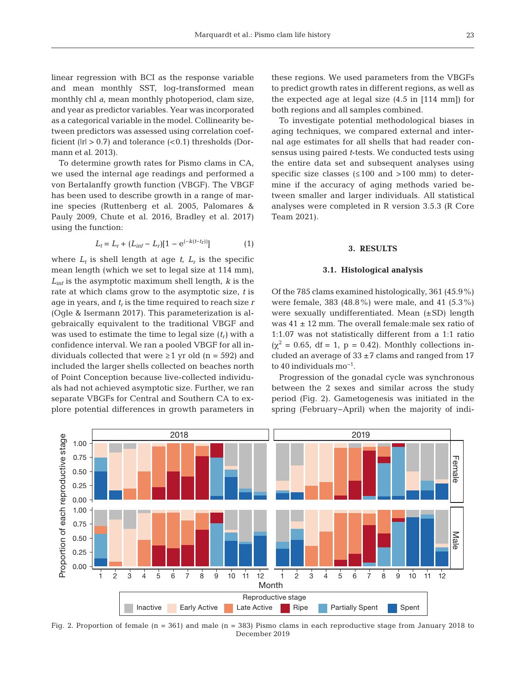linear regression with BCI as the response variable and mean monthly SST, log-transformed mean monthly chl *a*, mean monthly photoperiod, clam size, and year as predictor variables. Year was incorporated as a categorical variable in the model. Collinearity between predictors was assessed using correlation coefficient ( $|r| > 0.7$ ) and tolerance (<0.1) thresholds (Dormann et al. 2013).

To determine growth rates for Pismo clams in CA, we used the internal age readings and performed a von Bertalanffy growth function (VBGF). The VBGF has been used to describe growth in a range of marine species (Ruttenberg et al. 2005, Palomares & Pauly 2009, Chute et al. 2016, Bradley et al. 2017) using the function:

$$
L_t = L_r + (L_{inf} - L_r)[1 - e^{(-k(t - t_r))}] \tag{1}
$$

where  $L_t$  is shell length at age  $t$ ,  $L_t$  is the specific mean length (which we set to legal size at 114 mm), *Linf* is the asymptotic maximum shell length, *k* is the rate at which clams grow to the asymptotic size, *t* is age in years, and  $t_r$  is the time required to reach size  $r$ (Ogle & Isermann 2017). This parameterization is algebraically equivalent to the traditional VBGF and was used to estimate the time to legal size  $(t_r)$  with a confidence interval. We ran a pooled VBGF for all individuals collected that were  $\geq 1$  yr old (n = 592) and included the larger shells collected on beaches north of Point Conception because live-collected individuals had not achieved asymptotic size. Further, we ran separate VBGFs for Central and Southern CA to explore potential differences in growth parameters in

these regions. We used parameters from the VBGFs to predict growth rates in different regions, as well as the expected age at legal size (4.5 in [114 mm]) for both regions and all samples combined.

To investigate potential methodological biases in aging techniques, we compared external and internal age estimates for all shells that had reader consensus using paired *t*-tests. We conducted tests using the entire data set and subsequent analyses using specific size classes  $(\leq 100$  and  $> 100$  mm) to determine if the accuracy of aging methods varied be tween smaller and larger individuals. All statistical analyses were completed in R version 3.5.3 (R Core Team 2021).

#### **3. RESULTS**

#### **3.1. Histological analysis**

Of the 785 clams examined histologically, 361 (45.9%) were female, 383 (48.8%) were male, and 41 (5.3%) were sexually undifferentiated. Mean (±SD) length was 41 ± 12 mm. The overall female:male sex ratio of 1:1.07 was not statistically different from a 1:1 ratio  $(\chi^2 = 0.65, df = 1, p = 0.42)$ . Monthly collections included an average of  $33 \pm 7$  clams and ranged from 17 to 40 individuals mo−1.

Progression of the gonadal cycle was synchronous between the 2 sexes and similar across the study period (Fig. 2). Gametogenesis was initiated in the spring (February−April) when the majority of indi-



Fig. 2. Proportion of female (n = 361) and male (n = 383) Pismo clams in each reproductive stage from January 2018 to December 2019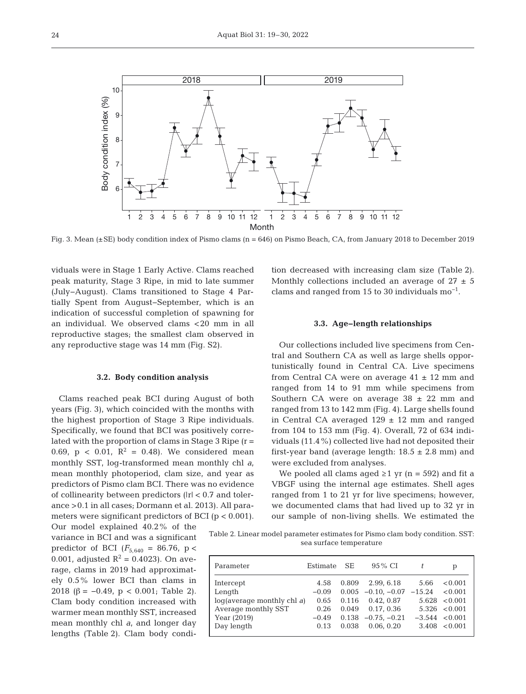

Fig. 3. Mean (±SE) body condition index of Pismo clams (n = 646) on Pismo Beach, CA, from January 2018 to December 2019

viduals were in Stage 1 Early Active. Clams reached peak maturity, Stage 3 Ripe, in mid to late summer (July−August). Clams transitioned to Stage 4 Partially Spent from August−September, which is an indication of successful completion of spawning for an individual. We observed clams <20 mm in all reproductive stages; the smallest clam observed in any reproductive stage was 14 mm (Fig. S2).

#### **3.2. Body condition analysis**

Clams reached peak BCI during August of both years (Fig. 3), which coincided with the months with the highest proportion of Stage 3 Ripe individuals. Specifically, we found that BCI was positively correlated with the proportion of clams in Stage 3 Ripe  $(r =$ 0.69,  $p < 0.01$ ,  $R^2 = 0.48$ ). We considered mean monthly SST, log-transformed mean monthly chl *a*, mean monthly photoperiod, clam size, and year as predictors of Pismo clam BCI. There was no evidence of collinearity between predictors (|r| < 0.7 and tolerance >0.1 in all cases; Dormann et al. 2013). All para meters were significant predictors of BCI (p < 0.001).

Our model explained  $40.2\%$  of the variance in BCI and was a significant predictor of BCI  $(F_{5,640} = 86.76, p <$ 0.001, adjusted  $R^2 = 0.4023$ ). On average, clams in 2019 had approximately 0.5% lower BCI than clams in 2018 ( $\beta = -0.49$ ,  $p < 0.001$ ; Table 2). Clam body condition increased with warmer mean monthly SST, increased mean monthly chl *a*, and longer day lengths (Table 2). Clam body condition decreased with increasing clam size (Table 2). Monthly collections included an average of  $27 \pm 5$ clams and ranged from 15 to 30 individuals mo<sup>-1</sup>.

#### **3.3. Age−length relationships**

Our collections included live specimens from Central and Southern CA as well as large shells opportunistically found in Central CA. Live specimens from Central CA were on average  $41 \pm 12$  mm and ranged from 14 to 91 mm while specimens from Southern CA were on average  $38 \pm 22$  mm and ranged from 13 to 142 mm (Fig. 4). Large shells found in Central CA averaged  $129 \pm 12$  mm and ranged from 104 to 153 mm (Fig. 4). Overall, 72 of 634 individuals (11.4%) collected live had not deposited their first-year band (average length:  $18.5 \pm 2.8$  mm) and were excluded from analyses.

We pooled all clams aged  $\geq 1$  yr (n = 592) and fit a VBGF using the internal age estimates. Shell ages ranged from 1 to 21 yr for live specimens; however, we documented clams that had lived up to 32 yr in our sample of non-living shells. We estimated the

Table 2. Linear model parameter estimates for Pismo clam body condition. SST: sea surface temperature

| Parameter                  | Estimate | -SE   | 95 % CI                     |                    | р                 |
|----------------------------|----------|-------|-----------------------------|--------------------|-------------------|
| Intercept                  | 4.58     | 0.809 | 2.99, 6.18                  | 5.66               | < 0.001           |
| Length                     | $-0.09$  |       | $0.005 -0.10, -0.07 -15.24$ |                    | < 0.001           |
| log(average monthly chl a) | 0.65     | 0.116 | 0.42.0.87                   |                    | 5.628 < 0.001     |
| Average monthly SST        | 0.26     | 0.049 | 0.17, 0.36                  |                    | $5.326 \le 0.001$ |
| Year (2019)                | $-0.49$  |       | $0.138 -0.75 -0.21$         | $-3.544 \le 0.001$ |                   |
| Day length                 | 0.13     | 0.038 | 0.06.0.20                   |                    | 3.408 < 0.001     |
|                            |          |       |                             |                    |                   |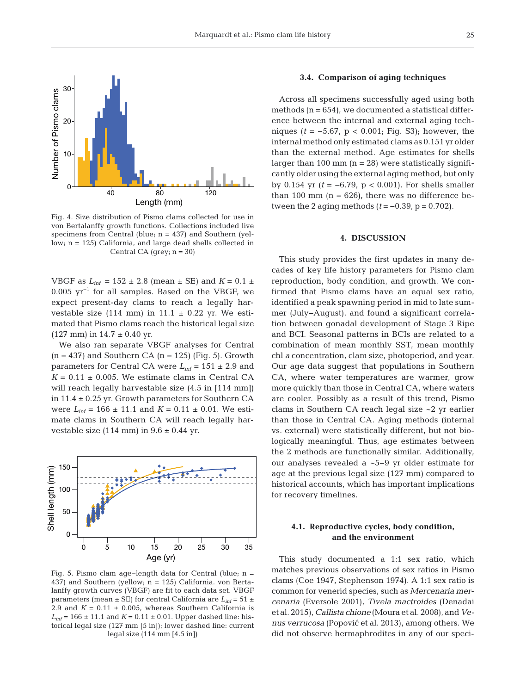

Fig. 4. Size distribution of Pismo clams collected for use in von Bertalanffy growth functions. Collections included live specimens from Central (blue;  $n = 437$ ) and Southern (yellow; n = 125) California, and large dead shells collected in Central CA (grey;  $n = 30$ )

VBGF as  $L_{inf}$  = 152  $\pm$  2.8 (mean  $\pm$  SE) and  $K = 0.1 \pm$ 0.005 yr−1 for all samples. Based on the VBGF, we expect present-day clams to reach a legally harvestable size (114 mm) in 11.1  $\pm$  0.22 yr. We estimated that Pismo clams reach the historical legal size  $(127$  mm) in  $14.7 \pm 0.40$  yr.

We also ran separate VBGF analyses for Central  $(n = 437)$  and Southern CA  $(n = 125)$  (Fig. 5). Growth parameters for Central CA were *Linf* = 151 ± 2.9 and  $K = 0.11 \pm 0.005$ . We estimate clams in Central CA will reach legally harvestable size (4.5 in [114 mm]) in 11.4 ± 0.25 yr. Growth parameters for Southern CA were  $L_{\text{inf}} = 166 \pm 11.1$  and  $K = 0.11 \pm 0.01$ . We estimate clams in Southern CA will reach legally harvestable size (114 mm) in  $9.6 \pm 0.44$  yr.



Fig. 5. Pismo clam age−length data for Central (blue; n = 437) and Southern (yellow; n = 125) California. von Bertalanffy growth curves (VBGF) are fit to each data set. VBGF parameters (mean  $\pm$  SE) for central California are  $L_{inf}$  = 51  $\pm$ 2.9 and  $K = 0.11 \pm 0.005$ , whereas Southern California is  $L_{\text{inf}}$  = 166  $\pm$  11.1 and *K* = 0.11  $\pm$  0.01. Upper dashed line: historical legal size (127 mm [5 in]); lower dashed line: current legal size (114 mm [4.5 in])

#### **3.4. Comparison of aging techniques**

Across all specimens successfully aged using both methods  $(n = 654)$ , we documented a statistical difference between the internal and external aging techniques (*t* = −5.67, p < 0.001; Fig. S3); however, the internal method only estimated clams as 0.151 yr older than the external method. Age estimates for shells larger than 100 mm  $(n = 28)$  were statistically significantly older using the external aging method, but only by 0.154 yr (*t* = −6.79, p < 0.001). For shells smaller than 100 mm  $(n = 626)$ , there was no difference between the 2 aging methods  $(t = -0.39, p = 0.702)$ .

#### **4. DISCUSSION**

This study provides the first updates in many decades of key life history parameters for Pismo clam re production, body condition, and growth. We confirmed that Pismo clams have an equal sex ratio, identified a peak spawning period in mid to late summer (July−August), and found a significant correlation between gonadal development of Stage 3 Ripe and BCI. Seasonal patterns in BCIs are related to a combination of mean monthly SST, mean monthly chl *a* concentration, clam size, photoperiod, and year. Our age data suggest that populations in Southern CA, where water temperatures are warmer, grow more quickly than those in Central CA, where waters are cooler. Possibly as a result of this trend, Pismo clams in Southern CA reach legal size ~2 yr earlier than those in Central CA. Aging methods (internal vs. external) were statistically different, but not biologically meaningful. Thus, age estimates between the 2 methods are functionally similar. Additionally, our analyses revealed a ~5−9 yr older estimate for age at the previous legal size (127 mm) compared to historical accounts, which has important implications for recovery timelines.

### **4.1. Reproductive cycles, body condition, and the environment**

This study documented a 1:1 sex ratio, which matches previous observations of sex ratios in Pismo clams (Coe 1947, Stephenson 1974). A 1:1 sex ratio is common for venerid species, such as *Mercenaria mercenaria* (Eversole 2001), *Tivela mactroides* (Denadai et al. 2015), *Callista chione* (Moura et al. 2008), and *Venus verrucosa* (Popović et al. 2013), among others. We did not observe hermaphrodites in any of our speci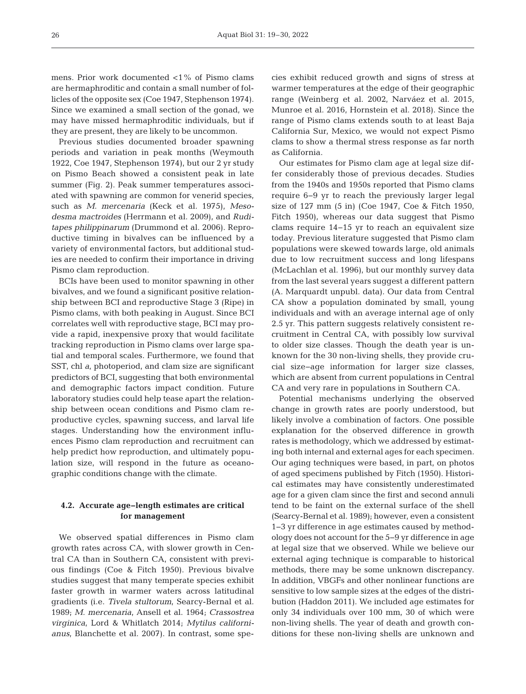mens. Prior work documented <1% of Pismo clams are hermaphroditic and contain a small number of follicles of the opposite sex (Coe 1947, Stephenson 1974). Since we examined a small section of the gonad, we may have missed hermaphroditic individuals, but if they are present, they are likely to be uncommon.

Previous studies documented broader spawning periods and variation in peak months (Weymouth 1922, Coe 1947, Stephenson 1974), but our 2 yr study on Pismo Beach showed a consistent peak in late summer (Fig. 2). Peak summer temperatures associated with spawning are common for venerid species, such as *M. mercenaria* (Keck et al. 1975), *Meso desma mactroides* (Herrmann et al. 2009), and *Ruditapes philippinarum* (Drummond et al. 2006). Reproductive timing in bivalves can be influenced by a variety of environmental factors, but additional studies are needed to confirm their importance in driving Pismo clam reproduction.

BCIs have been used to monitor spawning in other bivalves, and we found a significant positive relationship between BCI and reproductive Stage 3 (Ripe) in Pismo clams, with both peaking in August. Since BCI correlates well with reproductive stage, BCI may provide a rapid, inexpensive proxy that would facilitate tracking reproduction in Pismo clams over large spatial and temporal scales. Furthermore, we found that SST, chl *a*, photoperiod, and clam size are significant predictors of BCI, suggesting that both environmental and demographic factors impact condition. Future laboratory studies could help tease apart the relationship between ocean conditions and Pismo clam reproductive cycles, spawning success, and larval life stages. Understanding how the environment influences Pismo clam reproduction and recruitment can help predict how reproduction, and ultimately population size, will respond in the future as oceanographic conditions change with the climate.

## **4.2. Accurate age−length estimates are critical for management**

We observed spatial differences in Pismo clam growth rates across CA, with slower growth in Central CA than in Southern CA, consistent with previous findings (Coe & Fitch 1950). Previous bivalve studies suggest that many temperate species exhibit faster growth in warmer waters across latitudinal gradients (i.e. *Tivela stultorum*, Searcy-Bernal et al. 1989; *M. mercenaria*, Ansell et al. 1964; *Crassostrea virginica*, Lord & Whitlatch 2014; *Mytilus californianus*, Blanchette et al. 2007). In contrast, some species exhibit reduced growth and signs of stress at warmer temperatures at the edge of their geographic range (Weinberg et al. 2002, Narváez et al. 2015, Munroe et al. 2016, Hornstein et al. 2018). Since the range of Pismo clams extends south to at least Baja California Sur, Mexico, we would not expect Pismo clams to show a thermal stress response as far north as California.

Our estimates for Pismo clam age at legal size differ considerably those of previous decades. Studies from the 1940s and 1950s reported that Pismo clams require 6−9 yr to reach the previously larger legal size of 127 mm (5 in) (Coe 1947, Coe & Fitch 1950, Fitch 1950), whereas our data suggest that Pismo clams require 14−15 yr to reach an equivalent size today. Previous literature suggested that Pismo clam populations were skewed towards large, old animals due to low recruitment success and long lifespans (McLachlan et al. 1996), but our monthly survey data from the last several years suggest a different pattern (A. Marquardt unpubl. data). Our data from Central CA show a population dominated by small, young individuals and with an average internal age of only 2.5 yr. This pattern suggests relatively consistent re cruitment in Central CA, with possibly low survival to older size classes. Though the death year is unknown for the 30 non-living shells, they provide crucial size−age information for larger size classes, which are absent from current populations in Central CA and very rare in populations in Southern CA.

Potential mechanisms underlying the observed change in growth rates are poorly understood, but likely involve a combination of factors. One possible explanation for the observed difference in growth rates is methodology, which we addressed by estimating both internal and external ages for each specimen. Our aging techniques were based, in part, on photos of aged specimens published by Fitch (1950). Historical estimates may have consistently underestimated age for a given clam since the first and second annuli tend to be faint on the external surface of the shell (Searcy-Bernal et al. 1989); however, even a consistent 1−3 yr difference in age estimates caused by methodology does not account for the 5−9 yr difference in age at legal size that we observed. While we believe our external aging technique is comparable to historical methods, there may be some unknown discrepancy. In addition, VBGFs and other nonlinear functions are sensitive to low sample sizes at the edges of the distribution (Haddon 2011). We included age estimates for only 34 individuals over 100 mm, 30 of which were non-living shells. The year of death and growth conditions for these non-living shells are unknown and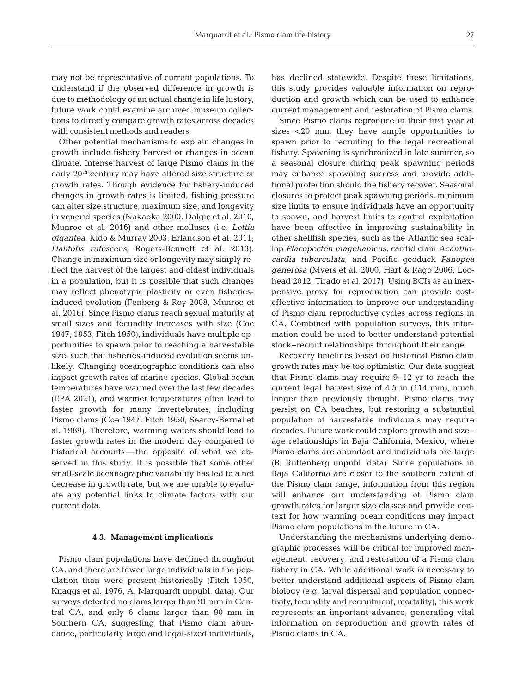may not be representative of current populations. To understand if the observed difference in growth is due to methodology or an actual change in life history, future work could examine archived museum collections to directly compare growth rates across decades with consistent methods and readers.

Other potential mechanisms to explain changes in growth include fishery harvest or changes in ocean climate. Intense harvest of large Pismo clams in the early 20th century may have altered size structure or growth rates. Though evidence for fishery-induced changes in growth rates is limited, fishing pressure can alter size structure, maximum size, and longevity in venerid species (Nakaoka 2000, Dalgiç et al. 2010, Munroe et al. 2016) and other molluscs (i.e. *Lottia gigantea*, Kido & Murray 2003, Erlandson et al. 2011; *Halitotis rufescens*, Rogers-Bennett et al. 2013). Change in maximum size or longevity may simply re flect the harvest of the largest and oldest individuals in a population, but it is possible that such changes may reflect phenotypic plasticity or even fisheriesinduced evolution (Fenberg & Roy 2008, Munroe et al. 2016). Since Pismo clams reach sexual maturity at small sizes and fecundity increases with size (Coe 1947, 1953, Fitch 1950), individuals have multiple op portunities to spawn prior to reaching a harvestable size, such that fisheries-induced evolution seems un likely. Changing oceanographic conditions can also impact growth rates of marine species. Global ocean temperatures have warmed over the last few decades (EPA 2021), and warmer temperatures often lead to faster growth for many invertebrates, including Pismo clams (Coe 1947, Fitch 1950, Searcy-Bernal et al. 1989). Therefore, warming waters should lead to faster growth rates in the modern day compared to historical accounts — the opposite of what we observed in this study. It is possible that some other small-scale oceanographic variability has led to a net decrease in growth rate, but we are unable to evaluate any potential links to climate factors with our current data.

#### **4.3. Management implications**

Pismo clam populations have declined throughout CA, and there are fewer large individuals in the population than were present historically (Fitch 1950, Knaggs et al. 1976, A. Marquardt unpubl. data). Our surveys detected no clams larger than 91 mm in Central CA, and only 6 clams larger than 90 mm in Southern CA, suggesting that Pismo clam abundance, particularly large and legal-sized individuals, has declined statewide. Despite these limitations, this study provides valuable information on reproduction and growth which can be used to enhance current management and restoration of Pismo clams.

Since Pismo clams reproduce in their first year at sizes <20 mm, they have ample opportunities to spawn prior to recruiting to the legal recreational fishery. Spawning is synchronized in late summer, so a seasonal closure during peak spawning periods may enhance spawning success and provide additional protection should the fishery recover. Seasonal closures to protect peak spawning periods, minimum size limits to ensure individuals have an opportunity to spawn, and harvest limits to control exploitation have been effective in improving sustainability in other shellfish species, such as the Atlantic sea scallop *Placopecten magellanicus*, cardid clam *Acanthocardia tuberculata*, and Pacific geoduck *Panopea generosa* (Myers et al. 2000, Hart & Rago 2006, Lochead 2012, Tirado et al. 2017). Using BCIs as an inexpensive proxy for reproduction can provide costeffective information to improve our understanding of Pismo clam reproductive cycles across regions in CA. Combined with population surveys, this information could be used to better understand potential stock−recruit relationships throughout their range.

Recovery timelines based on historical Pismo clam growth rates may be too optimistic. Our data suggest that Pismo clams may require 9−12 yr to reach the current legal harvest size of 4.5 in (114 mm), much longer than previously thought. Pismo clams may persist on CA beaches, but restoring a substantial population of harvestable individuals may require de cades. Future work could explore growth and size− age relationships in Baja California, Mexico, where Pismo clams are abundant and individuals are large (B. Ruttenberg unpubl. data). Since populations in Baja California are closer to the southern extent of the Pismo clam range, information from this region will enhance our understanding of Pismo clam growth rates for larger size classes and provide context for how warming ocean conditions may impact Pismo clam populations in the future in CA.

Understanding the mechanisms underlying demographic processes will be critical for improved management, recovery, and restoration of a Pismo clam fishery in CA. While additional work is necessary to better understand additional aspects of Pismo clam biology (e.g. larval dispersal and population connectivity, fecundity and recruitment, mortality), this work represents an important advance, generating vital information on reproduction and growth rates of Pismo clams in CA.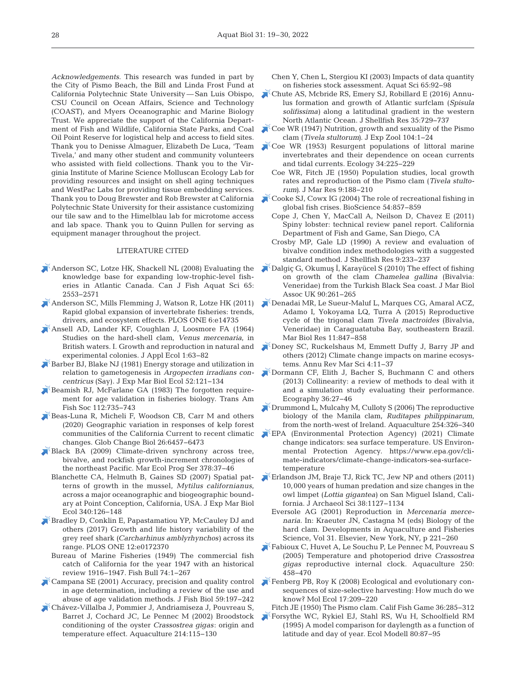*Acknowledgements*. This research was funded in part by the City of Pismo Beach, the Bill and Linda Frost Fund at California Polytechnic State University — San Luis Obispo, CSU Council on Ocean Affairs, Science and Technology (COAST), and Myers Oceanographic and Marine Biology Trust. We appreciate the support of the California Department of Fish and Wildlife, California State Parks, and Coal Oil Point Reserve for logistical help and access to field sites. Thank you to Denisse Almaguer, Elizabeth De Luca, 'Team Tivela,' and many other student and community volunteers who assisted with field collections. Thank you to the Virginia Institute of Marine Science Molluscan Ecology Lab for providing resources and insight on shell aging techniques and WestPac Labs for providing tissue embedding services. Thank you to Doug Brewster and Rob Brewster at California Polytechnic State University for their assistance customizing our tile saw and to the Himelblau lab for microtome access and lab space. Thank you to Quinn Pullen for serving as equipment manager throughout the project.

#### LITERATURE CITED

- [Anderson SC, Lotze HK, Shackell NL \(2008\) Evaluating the](https://doi.org/10.1139/F08-156)  knowledge base for expanding low-trophic-level fisheries in Atlantic Canada. Can J Fish Aquat Sci 65: 2553−2571
- [Anderson SC, Mills Flemming J, Watson R, Lotze HK \(2011\)](https://doi.org/10.1371/journal.pone.0014735)  Rapid global expansion of invertebrate fisheries: trends, drivers, and ecosystem effects. PLOS ONE 6:e14735
- [Ansell AD, Lander KF, Coughlan J, Loosmore FA \(1964\)](https://doi.org/10.2307/2401589)  Studies on the hard-shell clam, *Venus mercenaria*, in British waters. I. Growth and reproduction in natural and experimental colonies. J Appl Ecol 1:63-82
- [Barber BJ, Blake NJ \(1981\) Energy storage and utilization in](https://doi.org/10.1016/0022-0981(81)90031-9)  relation to gametogenesis in *Argopecten irradians concentricus* (Say). J Exp Mar Biol Ecol 52: 121−134
- [Beamish RJ, McFarlane GA \(1983\) The forgotten require](https://doi.org/10.1577/1548-8659(1983)112%3C735%3ATFRFAV%3E2.0.CO%3B2)ment for age validation in fisheries biology. Trans Am Fish Soc 112:735-743
- [Beas-Luna R, Micheli F, Woodson CB, Carr M and others](https://doi.org/10.1111/gcb.15273)  (2020) Geographic variation in responses of kelp forest communities of the California Current to recent climatic changes. Glob Change Biol 26: 6457−6473
- [Black BA \(2009\) Climate-driven synchrony across tree,](https://doi.org/10.3354/meps07854)  bivalve, and rockfish growth-increment chronologies of the northeast Pacific. Mar Ecol Prog Ser 378:37-46
	- Blanchette CA, Helmuth B, Gaines SD (2007) Spatial patterns of growth in the mussel, *Mytilus californianus*, across a major oceanographic and biogeographic boundary at Point Conception, California, USA. J Exp Mar Biol Ecol 340:126−148
- **Example Bradley D, Conklin E, Papastamatiou YP, McCauley DJ and** others (2017) Growth and life history variability of the grey reef shark *(Carcharhinus amblyrhynchos)* across its range. PLOS ONE 12: e0172370
	- Bureau of Marine Fisheries (1949) The commercial fish catch of California for the year 1947 with an historical review 1916−1947. Fish Bull 74: 1−267
- [Campana SE \(2001\) Accuracy, precision and quality control](https://doi.org/10.1111/j.1095-8649.2001.tb00127.x)  in age determination, including a review of the use and abuse of age validation methods. J Fish Biol 59: 197−242
- [Chávez-Villalba J, Pommier J, Andriamiseza J, Pouvreau S,](https://doi.org/10.1016/S0044-8486(01)00898-5)  Barret J, Cochard JC, Le Pennec M (2002) Broodstock conditioning of the oyster *Crassostrea gigas*: origin and temperature effect. Aquaculture 214: 115−130
- Chen Y, Chen L, Stergiou KI (2003) Impacts of data quantity on fisheries stock assessment. Aquat Sci 65: 92−98
- [Chute AS, Mcbride RS, Emery SJ, Robillard E \(2016\) Annu](https://doi.org/10.2983/035.035.0402)lus formation and growth of Atlantic surfclam (*Spisula solifissima)* along a latitudinal gradient in the western North Atlantic Ocean. J Shellfish Res 35:729-737
- [Coe WR \(1947\) Nutrition, growth and sexuality of the Pismo](https://doi.org/10.1002/jez.1401040102)  clam (*Tivela stultorum)*. J Exp Zool 104: 1−24
- [Coe WR \(1953\) Resurgent populations of littoral marine](https://doi.org/10.2307/1930330)  invertebrates and their dependence on ocean currents and tidal currents. Ecology 34: 225−229
	- Coe WR, Fitch JE (1950) Population studies, local growth rates and reproduction of the Pismo clam (*Tivela stultorum*). J Mar Res 9:188-210
- [Cooke SJ, Cowx IG \(2004\) The role of recreational fishing in](https://doi.org/10.1641/0006-3568(2004)054%5b0857%3ATRORFI%5d2.0.CO%3B2)  global fish crises. BioScience 54: 857−859
	- Cope J, Chen Y, MacCall A, Neilson D, Chavez E (2011) Spiny lobster: technical review panel report. California Department of Fish and Game, San Diego, CA
	- Crosby MP, Gale LD (1990) A review and evaluation of bivalve condition index methodologies with a suggested standard method. J Shellfish Res 9:233-237
- [Dalgiç G, Okumuş İ, Karayücel S \(2010\) The effect of fishing](https://doi.org/10.1017/S0025315409000939)  on growth of the clam *Chamelea gallina* (Bivalvia: Veneridae) from the Turkish Black Sea coast. J Mar Biol Assoc UK 90:261-265
- [Denadai MR, Le Sueur-Maluf L, Marques CG, Amaral ACZ,](https://doi.org/10.1080/17451000.2015.1024130)  Adamo I, Yokoyama LQ, Turra A (2015) Reproductive cycle of the trigonal clam *Tivela mactroides* (Bivalvia, Veneridae) in Caraguatatuba Bay, southeastern Brazil. Mar Biol Res 11:847-858
- [Doney SC, Ruckelshaus M, Emmett Duffy J, Barry JP and](https://doi.org/10.1146/annurev-marine-041911-111611)  others (2012) Climate change impacts on marine ecosystems. Annu Rev Mar Sci 4: 11−37
- [Dormann CF, Elith J, Bacher S, Buchmann C and others](https://doi.org/10.1111/j.1600-0587.2012.07348.x)  (2013) Collinearity: a review of methods to deal with it and a simulation study evaluating their performance. Ecography 36:27-46
- [Drummond L, Mulcahy M, Culloty S \(2006\) The reproductive](https://doi.org/10.1016/j.aquaculture.2005.10.052)  biology of the Manila clam, *Ruditapes philippinarum*, from the north-west of Ireland. Aquaculture 254: 326−340
- [EPA \(Environmental Protection Agency\) \(2021\) Climate](https://www.epa.gov/climate-indicators/climate-change-indicators-sea-surface-temperature)  change indicators: sea surface temperature. US Environmental Protection Agency. https://www.epa.gov/climate-indicators/climate-change-indicators-sea-surfacetemperature
- [Erlandson JM, Braje TJ, Rick TC, Jew NP and others \(2011\)](https://doi.org/10.1016/j.jas.2010.12.009)  10,000 years of human predation and size changes in the owl limpet (*Lottia gigantea)* on San Miguel Island, California. J Archaeol Sci 38: 1127−1134
	- Eversole AG (2001) Reproduction in *Mercenaria mercenaria*. In:Kraeuter JN, Castagna M (eds) Biology of the hard clam. Developments in Aquaculture and Fisheries Science, Vol 31. Elsevier, New York, NY, p 221−260
- [Fabioux C, Huvet A, Le Souchu P, Le Pennec M, Pouvreau S](https://doi.org/10.1016/j.aquaculture.2005.02.038)  (2005) Temperature and photoperiod drive *Crassostrea gigas* reproductive internal clock. Aquaculture 250: 458−470
- [Fenberg PB, Roy K \(2008\) Ecological and evolutionary con](https://doi.org/10.1111/j.1365-294X.2007.03522.x)sequences of size-selective harvesting: How much do we know? Mol Ecol 17: 209−220
- Fitch JE (1950) The Pismo clam. Calif Fish Game 36:285-312
- [Forsythe WC, Rykiel EJ, Stahl RS, Wu H, Schoolfield RM](https://doi.org/10.1016/0304-3800(94)00034-F)  (1995) A model comparison for daylength as a function of latitude and day of year. Ecol Modell 80:87-95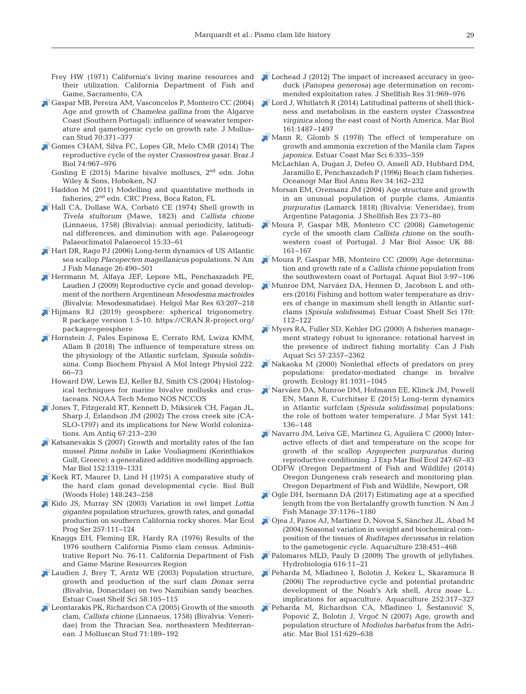- Frey HW (1971) California's living marine resources and their utilization. California Department of Fish and Game, Sacramento, CA
- [Gaspar MB, Pereira AM, Vasconcelos P, Monteiro CC \(2004\)](https://doi.org/10.1093/mollus/70.4.371)  Age and growth of *Chamelea gallina* from the Algarve Coast (Southern Portugal): influence of seawater temperature and gametogenic cycle on growth rate. J Molluscan Stud 70: 371−377
- [Gomes CHAM, Silva FC, Lopes GR, Melo CMR \(2014\) The](https://doi.org/10.1590/1519-6984.04912)  reproductive cycle of the oyster *Crassostrea gasar.* Braz J Biol 74: 967−976
	- Gosling E (2015) Marine bivalve molluscs, 2nd edn. John Wiley & Sons, Hoboken, NJ
	- Haddon M (2011) Modelling and quantitative methods in fisheries, 2nd edn. CRC Press, Boca Raton, FL
- [Hall CA, Dollase WA, Corbató CE \(1974\) Shell growth in](https://doi.org/10.1016/0031-0182(74)90036-4)  *Tivela stultorum* (Mawe, 1823) and *Callista chione* (Linnaeus, 1758) (Bivalvia): annual periodicity, latitudinal differences, and diminution with age. Palaeogeogr Palaeoclimatol Palaeoecol 15:33-61
- [Hart DR, Rago PJ \(2006\) Long-term dynamics of US Atlantic](https://doi.org/10.1577/M04-116.1)  sea scallop *Placopecten magellanicus* populations. N Am J Fish Manage 26:490-501
- [Herrmann M, Alfaya JEF, Lepore ML, Penchaszadeh PE,](https://doi.org/10.1007/s10152-009-0150-2)  Laudien J (2009) Reproductive cycle and gonad development of the northern Argentinean *Mesodesma mactroides* (Bivalvia: Mesodesmatidae). Helgol Mar Res 63:207-218
- $\blacktriangleright$ Hijmans RJ (2019) geosphere: spherical trigonometry. R package version 1.5-10. https://CRAN.R-project.org/ package=geosphere
- [Hornstein J, Pales Espinosa E, Cerrato RM, Lwiza KMM,](https://doi.org/10.1016/j.cbpa.2018.04.011)  Allam B (2018) The influence of temperature stress on the physiology of the Atlantic surfclam, *Spisula solidissima.* Comp Biochem Physiol A Mol Integr Physiol 222: 66−73
	- Howard DW, Lewis EJ, Keller BJ, Smith CS (2004) Histological techniques for marine bivalve mollusks and crustaceans. NOAA Tech Memo NOS NCCOS
- [Jones T, Fitzgerald RT, Kennett D, Miksicek CH, Fagan JL,](https://doi.org/10.2307/2694564)  Sharp J, Erlandson JM (2002) The cross creek site (CA-SLO-1797) and its implications for New World colonizations. Am Antiq 67:213-230
- [Katsanevakis S \(2007\) Growth and mortality rates of the fan](https://doi.org/10.1007/s00227-007-0781-2)  mussel *Pinna nobilis* in Lake Vouliagmeni (Korinthiakos Gulf, Greece): a generalized additive modelling approach. Mar Biol 152:1319-1331
- [Keck RT, Maurer D, Lind H \(1975\) A comparative study of](https://doi.org/10.2307/1540545)  the hard clam gonad developmental cycle. Biol Bull (Woods Hole) 148:243-258
- [Kido JS, Murray SN \(2003\) Variation in owl limpet](https://doi.org/10.3354/meps257111) *Lottia gigantea* population structures, growth rates, and gonadal production on southern California rocky shores. Mar Ecol Prog Ser 257: 111−124
	- Knaggs EH, Fleming ER, Hardy RA (1976) Results of the 1976 southern California Pismo clam census. Administrative Report No. 76-11. California Department of Fish and Game Marine Resources Region
- [Laudien J, Brey T, Arntz WE \(2003\) Population structure,](https://doi.org/10.1016/S0272-7714(03)00044-1)  growth and production of the surf clam *Donax serra* (Bivalvia, Donacidae) on two Namibian sandy beaches. Estuar Coast Shelf Sci 58: 105−115
- [Leontarakis PK, Richardson CA \(2005\) Growth of the smooth](https://doi.org/10.1093/mollus/eyi022)  clam, *Callista chione* (Linnaeus, 1758) (Bivalvia: Veneridae) from the Thracian Sea, northeastern Mediterranean. J Molluscan Stud 71: 189−192
- [Lochead J \(2012\) The impact of increased accuracy in geo](https://doi.org/10.2983/035.031.0409)duck (*Panopea generosa)* age determination on recommended exploitation rates. J Shellfish Res 31: 969−976
- [Lord J, Whitlatch R \(2014\) Latitudinal patterns of shell thick](https://doi.org/10.1007/s00227-014-2434-6)ness and metabolism in the eastern oyster *Crassostrea virginica* along the east coast of North America. Mar Biol 161: 1487−1497
- $\mathbb{R}$  Mann R, Glomb S (1978) The effect of temperature on growth and ammonia excretion of the Manila clam *Tapes*  japonica. Estuar Coast Mar Sci 6:335-359
	- McLachlan A, Dugan J, Defeo O, Ansell AD, Hubbard DM, Jaramillo E, Penchaszadeh P (1996) Beach clam fisheries. Oceanogr Mar Biol Annu Rev 34: 162−232
- Morsan EM, Orensanz JM (2004) Age structure and growth in an unusual population of purple clams, *Amiantis purpuratus* (Lamarck 1818) (Bivalvia: Veneridae), from Argentine Patagonia. J Shellfish Res 23: 73−80
- [Moura P, Gaspar MB, Monteiro CC \(2008\) Gametogenic](https://doi.org/10.1017/S0025315408000337)  cycle of the smooth clam *Callista chione* on the southwestern coast of Portugal. J Mar Biol Assoc UK 88: 161−167
- [Moura P, Gaspar MB, Monteiro CC \(2009\) Age determina](https://doi.org/10.3354/ab00119)tion and growth rate of a *Callista chione* population from the southwestern coast of Portugal. Aquat Biol 5: 97−106
- [Munroe DM, Narváez DA, Hennen D, Jacobson L and oth](https://doi.org/10.1016/j.ecss.2016.01.009)ers (2016) Fishing and bottom water temperature as drivers of change in maximum shell length in Atlantic surfclams (*Spisula solidissima)*. Estuar Coast Shelf Sci 170: 112−122
- [Myers RA, Fuller SD, Kehler DG \(2000\) A fisheries manage](https://doi.org/10.1139/f00-250)ment strategy robust to ignorance: rotational harvest in the presence of indirect fishing mortality. Can J Fish Aquat Sci 57: 2357−2362
- [Nakaoka M \(2000\) Nonlethal effects of predators on prey](https://doi.org/10.1890/0012-9658(2000)081%5b1031%3ANEOPOP%5d2.0.CO%3B2)  populations: predator-mediated change in bivalve growth. Ecology 81: 1031−1045
- [Narváez DA, Munroe DM, Hofmann EE, Klinck JM, Powell](https://doi.org/10.1016/j.jmarsys.2014.08.007)  EN, Mann R, Curchitser E (2015) Long-term dynamics in Atlantic surfclam (*Spisula solidissima)* populations: the role of bottom water temperature. J Mar Syst 141: 136−148
- [Navarro JM, Leiva GE, Martinez G, Aguilera C \(2000\) Inter](https://doi.org/10.1016/S0022-0981(00)00140-4)active effects of diet and temperature on the scope for growth of the scallop *Argopecten purpuratus* during reproductive conditioning. J Exp Mar Biol Ecol 247:67-83
	- ODFW (Oregon Department of Fish and Wildlife) (2014) Oregon Dungeness crab research and monitoring plan. Oregon Department of Fish and Wildlife, Newport, OR
- Ogle DH, Isermann DA (2017) Estimating age at a specified length from the von Bertalanffy growth function. N Am J Fish Manage 37: 1176−1180
- [Ojea J, Pazos AJ, Martínez D, Novoa S, Sánchez JL, Abad M](https://doi.org/10.1016/j.aquaculture.2004.05.022)  (2004) Seasonal variation in weight and biochemical composition of the tissues of *Ruditapes decussatus* in relation to the gametogenic cycle. Aquaculture 238:451-468
- [Palomares MLD, Pauly D \(2009\) The growth of jellyfishes.](https://doi.org/10.1007/s10750-008-9582-y)  Hydrobiologia 616: 11−21
- [Peharda M, Mladineo I, Bolotin J, Kekez L, Skaramuca B](https://doi.org/10.1016/j.aquaculture.2005.07.007)  (2006) The reproductive cycle and potential protandric development of the Noah's Ark shell, *Arca noae* L.: implications for aquaculture. Aquaculture 252:317-327
- [Peharda M, Richardson CA, Mladineo I, Šestanović S,](https://doi.org/10.1007/s00227-006-0501-3)  Popović Z, Bolotin J, Vrgoč N (2007) Age, growth and population structure of *Modiolus barbatus* from the Adriatic. Mar Biol 151: 629−638